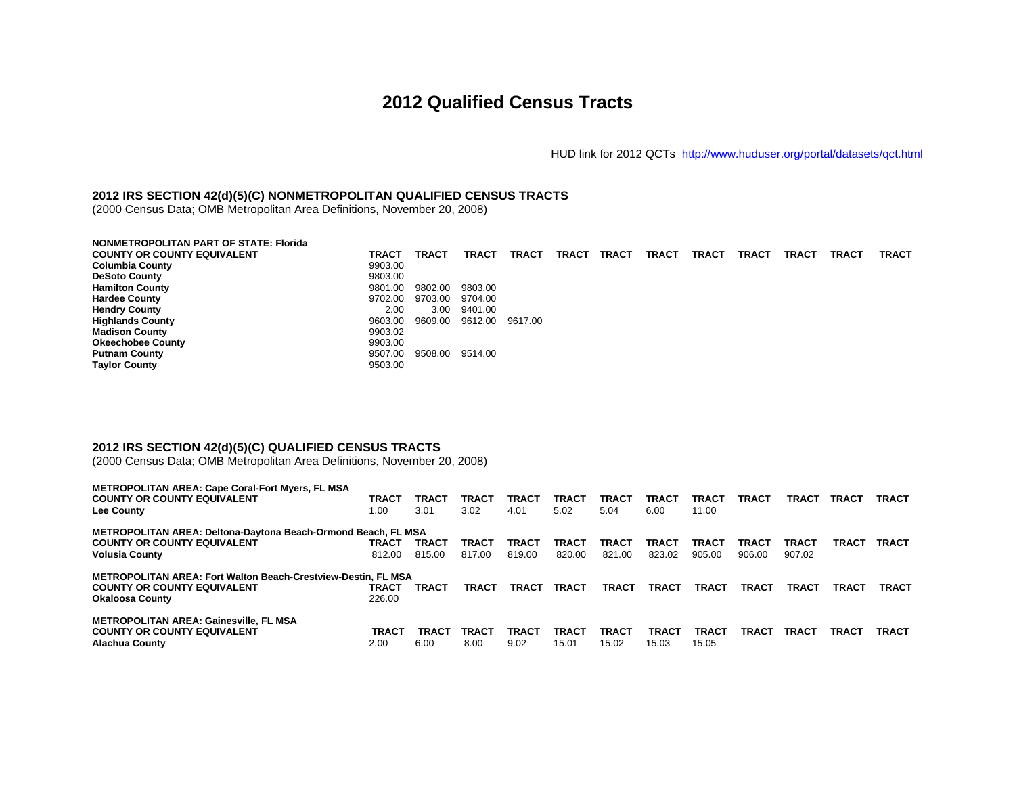## **2012 Qualified Census Tracts**

HUD link for 2012 QCTs <http://www.huduser.org/portal/datasets/qct.html>

## **2012 IRS SECTION 42(d)(5)(C) NONMETROPOLITAN QUALIFIED CENSUS TRACTS**

(2000 Census Data; OMB Metropolitan Area Definitions, November 20, 2008)

| <b>NONMETROPOLITAN PART OF STATE: Florida</b> |         |         |              |              |              |              |              |              |              |              |              |              |
|-----------------------------------------------|---------|---------|--------------|--------------|--------------|--------------|--------------|--------------|--------------|--------------|--------------|--------------|
| <b>COUNTY OR COUNTY EQUIVALENT</b>            | TRACT   | TRACT   | <b>TRACT</b> | <b>TRACT</b> | <b>TRACT</b> | <b>TRACT</b> | <b>TRACT</b> | <b>TRACT</b> | <b>TRACT</b> | <b>TRACT</b> | <b>TRACT</b> | <b>TRACT</b> |
| <b>Columbia County</b>                        | 9903.00 |         |              |              |              |              |              |              |              |              |              |              |
| <b>DeSoto County</b>                          | 9803.00 |         |              |              |              |              |              |              |              |              |              |              |
| <b>Hamilton County</b>                        | 9801.00 | 9802.00 | 9803.00      |              |              |              |              |              |              |              |              |              |
| <b>Hardee County</b>                          | 9702.00 | 9703.00 | 9704.00      |              |              |              |              |              |              |              |              |              |
| <b>Hendry County</b>                          | 2.00    | 3.00    | 9401.00      |              |              |              |              |              |              |              |              |              |
| <b>Highlands County</b>                       | 9603.00 | 9609.00 | 9612.00      | 9617.00      |              |              |              |              |              |              |              |              |
| <b>Madison County</b>                         | 9903.02 |         |              |              |              |              |              |              |              |              |              |              |
| <b>Okeechobee County</b>                      | 9903.00 |         |              |              |              |              |              |              |              |              |              |              |
| <b>Putnam County</b>                          | 9507.00 | 9508.00 | 9514.00      |              |              |              |              |              |              |              |              |              |
| <b>Taylor County</b>                          | 9503.00 |         |              |              |              |              |              |              |              |              |              |              |

## **2012 IRS SECTION 42(d)(5)(C) QUALIFIED CENSUS TRACTS**

(2000 Census Data; OMB Metropolitan Area Definitions, November 20, 2008)

| <b>METROPOLITAN AREA: Cape Coral-Fort Myers, FL MSA</b>              |              |        |              |              |              |        |        |              |              |              |       |              |
|----------------------------------------------------------------------|--------------|--------|--------------|--------------|--------------|--------|--------|--------------|--------------|--------------|-------|--------------|
| <b>COUNTY OR COUNTY EQUIVALENT</b>                                   | <b>TRACT</b> | TRACT  | TRACT        | <b>TRACT</b> | <b>TRACT</b> | TRACT  | TRACT  | TRACT        | <b>TRACT</b> | TRACT        | TRACT | TRACT        |
| Lee County                                                           | 00. ا        | 3.01   | 3.02         | 4.01         | 5.02         | 5.04   | 6.00   | 11.00        |              |              |       |              |
| <b>METROPOLITAN AREA: Deltona-Daytona Beach-Ormond Beach, FL MSA</b> |              |        |              |              |              |        |        |              |              |              |       |              |
| <b>COUNTY OR COUNTY EQUIVALENT</b>                                   | <b>TRACT</b> | TRACT  | TRACT        | <b>TRACT</b> | <b>TRACT</b> | TRACT  | TRACT  | TRACT        | <b>TRACT</b> | <b>TRACT</b> | TRACT | TRACT        |
| <b>Volusia County</b>                                                | 812.00       | 815.00 | 817.00       | 819.00       | 820.00       | 821.00 | 823.02 | 905.00       | 906.00       | 907.02       |       |              |
| <b>METROPOLITAN AREA: Fort Walton Beach-Crestview-Destin, FL MSA</b> |              |        |              |              |              |        |        |              |              |              |       |              |
| <b>COUNTY OR COUNTY EQUIVALENT</b>                                   | TRACT        | TRACT  | <b>TRACT</b> | <b>TRACT</b> | <b>TRACT</b> | TRACT  | TRACT  | <b>TRACT</b> | TRACT        | TRACT        | TRACT | <b>TRACT</b> |
| <b>Okaloosa County</b>                                               | 226.00       |        |              |              |              |        |        |              |              |              |       |              |
| <b>METROPOLITAN AREA: Gainesville, FL MSA</b>                        |              |        |              |              |              |        |        |              |              |              |       |              |
| <b>COUNTY OR COUNTY EQUIVALENT</b>                                   | <b>TRACT</b> | TRACT  | <b>TRACT</b> | <b>TRACT</b> | <b>TRACT</b> | TRACT  | TRACT  | <b>TRACT</b> | TRACT        | <b>TRACT</b> | TRACT | TRACT        |
| <b>Alachua County</b>                                                | 2.00         | 6.00   | 8.00         | 9.02         | 15.01        | 15.02  | 15.03  | 15.05        |              |              |       |              |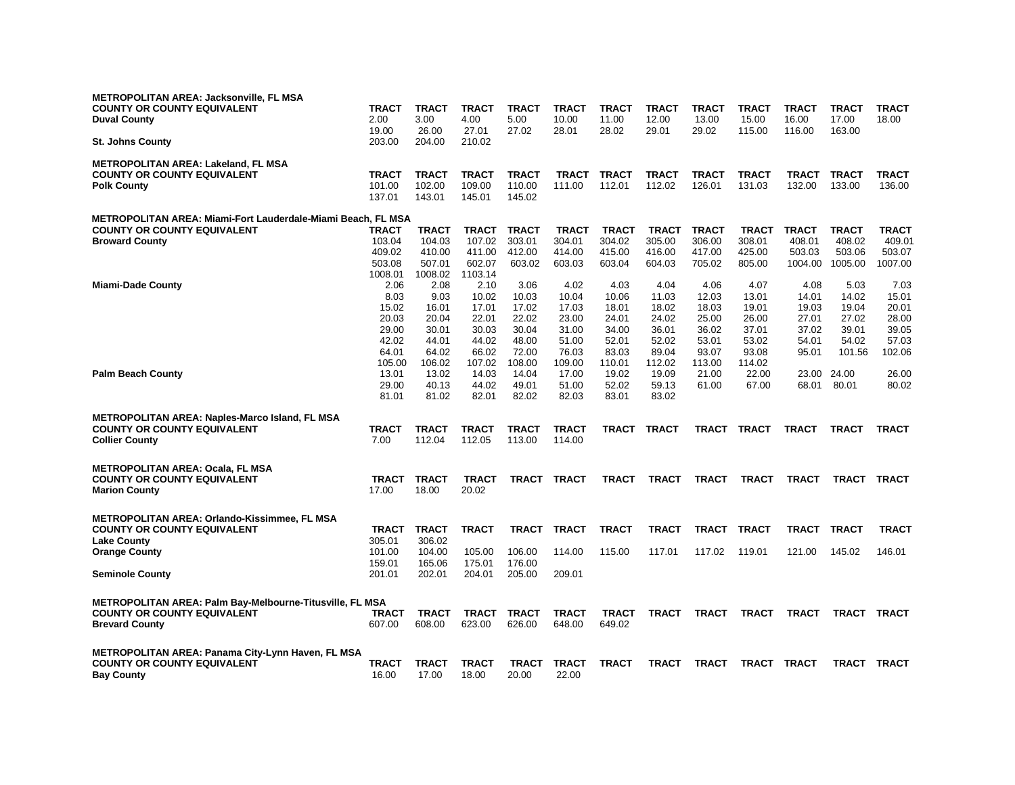| <b>METROPOLITAN AREA: Jacksonville, FL MSA</b><br><b>COUNTY OR COUNTY EQUIVALENT</b><br><b>Duval County</b><br><b>St. Johns County</b> | <b>TRACT</b><br>2.00<br>19.00<br>203.00   | <b>TRACT</b><br>3.00<br>26.00<br>204.00    | <b>TRACT</b><br>4.00<br>27.01<br>210.02    | <b>TRACT</b><br>5.00<br>27.02              | <b>TRACT</b><br>10.00<br>28.01             | <b>TRACT</b><br>11.00<br>28.02             | <b>TRACT</b><br>12.00<br>29.01             | <b>TRACT</b><br>13.00<br>29.02             | <b>TRACT</b><br>15.00<br>115.00            | <b>TRACT</b><br>16.00<br>116.00             | <b>TRACT</b><br>17.00<br>163.00             | <b>TRACT</b><br>18.00                       |
|----------------------------------------------------------------------------------------------------------------------------------------|-------------------------------------------|--------------------------------------------|--------------------------------------------|--------------------------------------------|--------------------------------------------|--------------------------------------------|--------------------------------------------|--------------------------------------------|--------------------------------------------|---------------------------------------------|---------------------------------------------|---------------------------------------------|
| <b>METROPOLITAN AREA: Lakeland, FL MSA</b><br><b>COUNTY OR COUNTY EQUIVALENT</b><br><b>Polk County</b>                                 | <b>TRACT</b><br>101.00<br>137.01          | <b>TRACT</b><br>102.00<br>143.01           | <b>TRACT</b><br>109.00<br>145.01           | <b>TRACT</b><br>110.00<br>145.02           | <b>TRACT</b><br>111.00                     | <b>TRACT</b><br>112.01                     | TRACT<br>112.02                            | <b>TRACT</b><br>126.01                     | <b>TRACT</b><br>131.03                     | TRACT<br>132.00                             | <b>TRACT</b><br>133.00                      | <b>TRACT</b><br>136.00                      |
| METROPOLITAN AREA: Miami-Fort Lauderdale-Miami Beach, FL MSA<br><b>COUNTY OR COUNTY EQUIVALENT</b><br><b>Broward County</b>            | TRACT<br>103.04<br>409.02<br>503.08       | <b>TRACT</b><br>104.03<br>410.00<br>507.01 | TRACT<br>107.02<br>411.00<br>602.07        | <b>TRACT</b><br>303.01<br>412.00<br>603.02 | <b>TRACT</b><br>304.01<br>414.00<br>603.03 | <b>TRACT</b><br>304.02<br>415.00<br>603.04 | <b>TRACT</b><br>305.00<br>416.00<br>604.03 | <b>TRACT</b><br>306.00<br>417.00<br>705.02 | <b>TRACT</b><br>308.01<br>425.00<br>805.00 | <b>TRACT</b><br>408.01<br>503.03<br>1004.00 | <b>TRACT</b><br>408.02<br>503.06<br>1005.00 | <b>TRACT</b><br>409.01<br>503.07<br>1007.00 |
| <b>Miami-Dade County</b>                                                                                                               | 1008.01<br>2.06<br>8.03<br>15.02<br>20.03 | 1008.02<br>2.08<br>9.03<br>16.01<br>20.04  | 1103.14<br>2.10<br>10.02<br>17.01<br>22.01 | 3.06<br>10.03<br>17.02<br>22.02            | 4.02<br>10.04<br>17.03<br>23.00            | 4.03<br>10.06<br>18.01<br>24.01            | 4.04<br>11.03<br>18.02<br>24.02            | 4.06<br>12.03<br>18.03                     | 4.07<br>13.01<br>19.01<br>26.00            | 4.08<br>14.01<br>19.03                      | 5.03<br>14.02<br>19.04<br>27.02             | 7.03<br>15.01<br>20.01<br>28.00             |
|                                                                                                                                        | 29.00<br>42.02<br>64.01<br>105.00         | 30.01<br>44.01<br>64.02<br>106.02          | 30.03<br>44.02<br>66.02<br>107.02          | 30.04<br>48.00<br>72.00<br>108.00          | 31.00<br>51.00<br>76.03<br>109.00          | 34.00<br>52.01<br>83.03<br>110.01          | 36.01<br>52.02<br>89.04<br>112.02          | 25.00<br>36.02<br>53.01<br>93.07<br>113.00 | 37.01<br>53.02<br>93.08<br>114.02          | 27.01<br>37.02<br>54.01<br>95.01            | 39.01<br>54.02<br>101.56                    | 39.05<br>57.03<br>102.06                    |
| <b>Palm Beach County</b>                                                                                                               | 13.01<br>29.00<br>81.01                   | 13.02<br>40.13<br>81.02                    | 14.03<br>44.02<br>82.01                    | 14.04<br>49.01<br>82.02                    | 17.00<br>51.00<br>82.03                    | 19.02<br>52.02<br>83.01                    | 19.09<br>59.13<br>83.02                    | 21.00<br>61.00                             | 22.00<br>67.00                             | 23.00<br>68.01                              | 24.00<br>80.01                              | 26.00<br>80.02                              |
| <b>METROPOLITAN AREA: Naples-Marco Island, FL MSA</b><br><b>COUNTY OR COUNTY EQUIVALENT</b><br><b>Collier County</b>                   | <b>TRACT</b><br>7.00                      | <b>TRACT</b><br>112.04                     | <b>TRACT</b><br>112.05                     | <b>TRACT</b><br>113.00                     | <b>TRACT</b><br>114.00                     | <b>TRACT</b>                               | <b>TRACT</b>                               | <b>TRACT</b>                               | TRACT                                      | <b>TRACT</b>                                | <b>TRACT</b>                                | <b>TRACT</b>                                |
| <b>METROPOLITAN AREA: Ocala, FL MSA</b><br><b>COUNTY OR COUNTY EQUIVALENT</b><br><b>Marion County</b>                                  | <b>TRACT</b><br>17.00                     | <b>TRACT</b><br>18.00                      | <b>TRACT</b><br>20.02                      | TRACT                                      | <b>TRACT</b>                               | <b>TRACT</b>                               | <b>TRACT</b>                               | <b>TRACT</b>                               | <b>TRACT</b>                               | <b>TRACT</b>                                | <b>TRACT</b>                                | <b>TRACT</b>                                |
| <b>METROPOLITAN AREA: Orlando-Kissimmee, FL MSA</b><br><b>COUNTY OR COUNTY EQUIVALENT</b><br><b>Lake County</b>                        | <b>TRACT</b><br>305.01                    | <b>TRACT</b><br>306.02                     | <b>TRACT</b>                               | <b>TRACT</b>                               | <b>TRACT</b>                               | <b>TRACT</b>                               | <b>TRACT</b>                               | <b>TRACT</b>                               | TRACT                                      | TRACT TRACT                                 |                                             | <b>TRACT</b>                                |
| <b>Orange County</b><br><b>Seminole County</b>                                                                                         | 101.00<br>159.01<br>201.01                | 104.00<br>165.06<br>202.01                 | 105.00<br>175.01<br>204.01                 | 106.00<br>176.00<br>205.00                 | 114.00<br>209.01                           | 115.00                                     | 117.01                                     | 117.02                                     | 119.01                                     | 121.00                                      | 145.02                                      | 146.01                                      |
| <b>METROPOLITAN AREA: Palm Bay-Melbourne-Titusville, FL MSA</b><br><b>COUNTY OR COUNTY EQUIVALENT</b><br><b>Brevard County</b>         | <b>TRACT</b><br>607.00                    | <b>TRACT</b><br>608.00                     | <b>TRACT</b><br>623.00                     | <b>TRACT</b><br>626.00                     | <b>TRACT</b><br>648.00                     | <b>TRACT</b><br>649.02                     | <b>TRACT</b>                               | <b>TRACT</b>                               | <b>TRACT</b>                               | <b>TRACT</b>                                | TRACT                                       | <b>TRACT</b>                                |
| <b>METROPOLITAN AREA: Panama City-Lynn Haven, FL MSA</b><br><b>COUNTY OR COUNTY EQUIVALENT</b><br><b>Bay County</b>                    | <b>TRACT</b><br>16.00                     | <b>TRACT</b><br>17.00                      | <b>TRACT</b><br>18.00                      | <b>TRACT</b><br>20.00                      | <b>TRACT</b><br>22.00                      | <b>TRACT</b>                               | <b>TRACT</b>                               | <b>TRACT</b>                               |                                            | TRACT TRACT                                 | <b>TRACT</b>                                | <b>TRACT</b>                                |